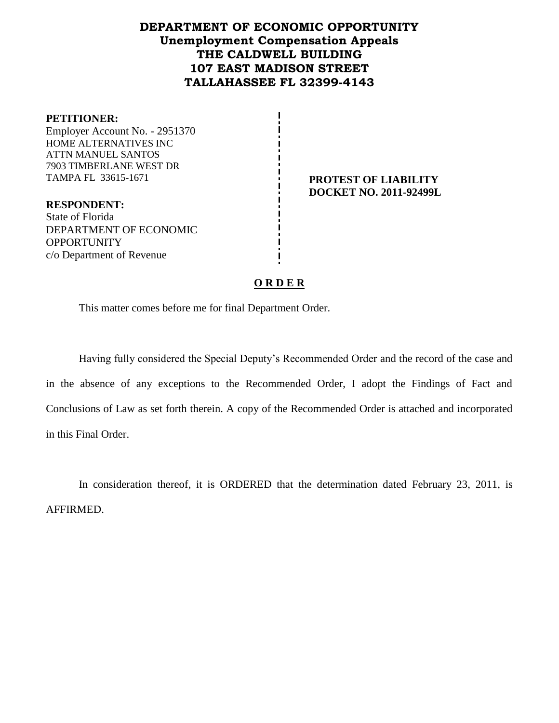# **DEPARTMENT OF ECONOMIC OPPORTUNITY Unemployment Compensation Appeals THE CALDWELL BUILDING 107 EAST MADISON STREET TALLAHASSEE FL 32399-4143**

#### **PETITIONER:**

Employer Account No. - 2951370 HOME ALTERNATIVES INC ATTN MANUEL SANTOS 7903 TIMBERLANE WEST DR TAMPA FL 33615-1671 **PROTEST OF LIABILITY**

**DOCKET NO. 2011-92499L**

**RESPONDENT:** State of Florida DEPARTMENT OF ECONOMIC OPPORTUNITY c/o Department of Revenue

#### **O R D E R**

This matter comes before me for final Department Order.

Having fully considered the Special Deputy's Recommended Order and the record of the case and in the absence of any exceptions to the Recommended Order, I adopt the Findings of Fact and Conclusions of Law as set forth therein. A copy of the Recommended Order is attached and incorporated in this Final Order.

In consideration thereof, it is ORDERED that the determination dated February 23, 2011, is AFFIRMED.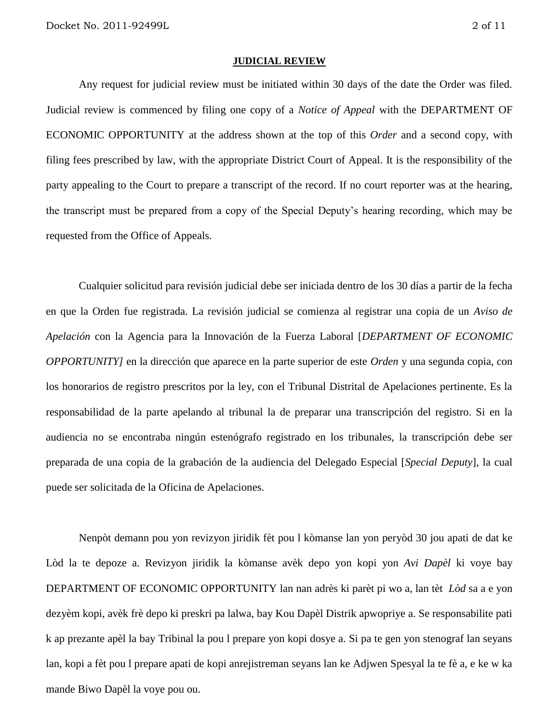#### **JUDICIAL REVIEW**

Any request for judicial review must be initiated within 30 days of the date the Order was filed. Judicial review is commenced by filing one copy of a *Notice of Appeal* with the DEPARTMENT OF ECONOMIC OPPORTUNITY at the address shown at the top of this *Order* and a second copy, with filing fees prescribed by law, with the appropriate District Court of Appeal. It is the responsibility of the party appealing to the Court to prepare a transcript of the record. If no court reporter was at the hearing, the transcript must be prepared from a copy of the Special Deputy's hearing recording, which may be requested from the Office of Appeals.

Cualquier solicitud para revisión judicial debe ser iniciada dentro de los 30 días a partir de la fecha en que la Orden fue registrada. La revisión judicial se comienza al registrar una copia de un *Aviso de Apelación* con la Agencia para la Innovación de la Fuerza Laboral [*DEPARTMENT OF ECONOMIC OPPORTUNITY]* en la dirección que aparece en la parte superior de este *Orden* y una segunda copia, con los honorarios de registro prescritos por la ley, con el Tribunal Distrital de Apelaciones pertinente. Es la responsabilidad de la parte apelando al tribunal la de preparar una transcripción del registro. Si en la audiencia no se encontraba ningún estenógrafo registrado en los tribunales, la transcripción debe ser preparada de una copia de la grabación de la audiencia del Delegado Especial [*Special Deputy*], la cual puede ser solicitada de la Oficina de Apelaciones.

Nenpòt demann pou yon revizyon jiridik fèt pou l kòmanse lan yon peryòd 30 jou apati de dat ke Lòd la te depoze a. Revizyon jiridik la kòmanse avèk depo yon kopi yon *Avi Dapèl* ki voye bay DEPARTMENT OF ECONOMIC OPPORTUNITY lan nan adrès ki parèt pi wo a, lan tèt *Lòd* sa a e yon dezyèm kopi, avèk frè depo ki preskri pa lalwa, bay Kou Dapèl Distrik apwopriye a. Se responsabilite pati k ap prezante apèl la bay Tribinal la pou l prepare yon kopi dosye a. Si pa te gen yon stenograf lan seyans lan, kopi a fèt pou l prepare apati de kopi anrejistreman seyans lan ke Adjwen Spesyal la te fè a, e ke w ka mande Biwo Dapèl la voye pou ou.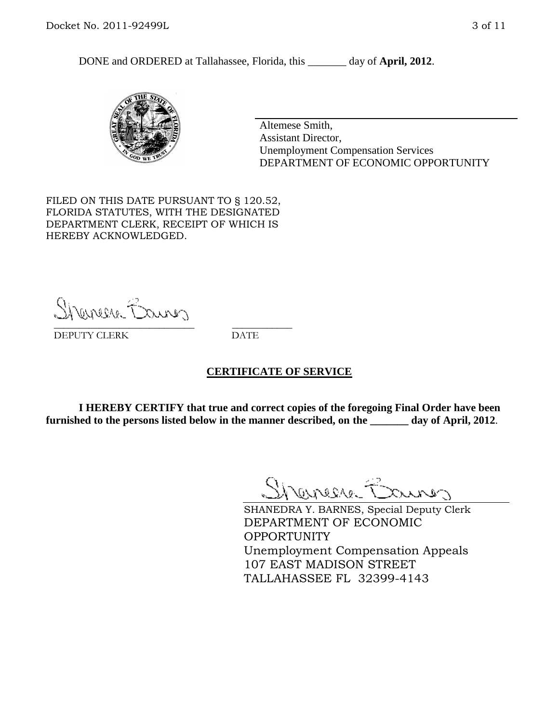DONE and ORDERED at Tallahassee, Florida, this day of **April, 2012**.



Altemese Smith, Assistant Director, Unemployment Compensation Services DEPARTMENT OF ECONOMIC OPPORTUNITY

FILED ON THIS DATE PURSUANT TO § 120.52, FLORIDA STATUTES, WITH THE DESIGNATED DEPARTMENT CLERK, RECEIPT OF WHICH IS HEREBY ACKNOWLEDGED.

Shemere Banner \_\_\_\_\_\_\_\_\_\_\_\_\_\_\_\_\_\_\_\_\_\_\_\_\_\_\_\_ \_\_\_\_\_\_\_\_\_\_\_\_

DEPUTY CLERK DATE

#### **CERTIFICATE OF SERVICE**

**I HEREBY CERTIFY that true and correct copies of the foregoing Final Order have been furnished to the persons listed below in the manner described, on the \_\_\_\_\_\_\_ day of April, 2012**.

Shaner Barnes

SHANEDRA Y. BARNES, Special Deputy Clerk DEPARTMENT OF ECONOMIC OPPORTUNITY Unemployment Compensation Appeals 107 EAST MADISON STREET TALLAHASSEE FL 32399-4143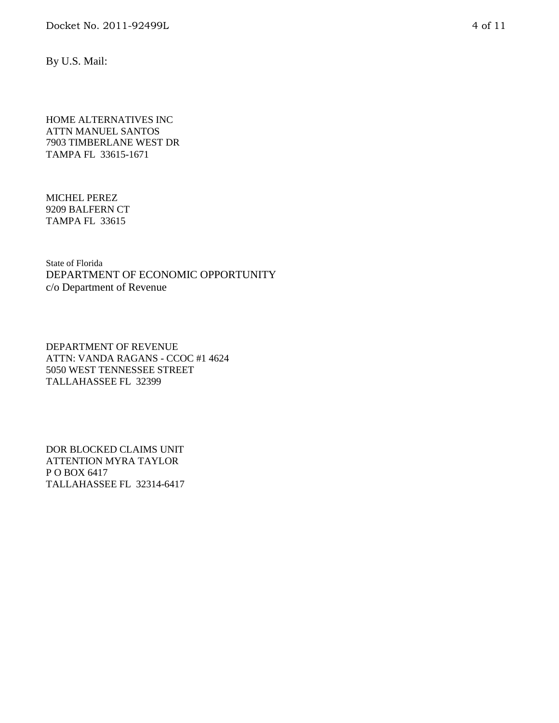By U.S. Mail:

HOME ALTERNATIVES INC ATTN MANUEL SANTOS 7903 TIMBERLANE WEST DR TAMPA FL 33615-1671

MICHEL PEREZ 9209 BALFERN CT TAMPA FL 33615

State of Florida DEPARTMENT OF ECONOMIC OPPORTUNITY c/o Department of Revenue

DEPARTMENT OF REVENUE ATTN: VANDA RAGANS - CCOC #1 4624 5050 WEST TENNESSEE STREET TALLAHASSEE FL 32399

DOR BLOCKED CLAIMS UNIT ATTENTION MYRA TAYLOR P O BOX 6417 TALLAHASSEE FL 32314-6417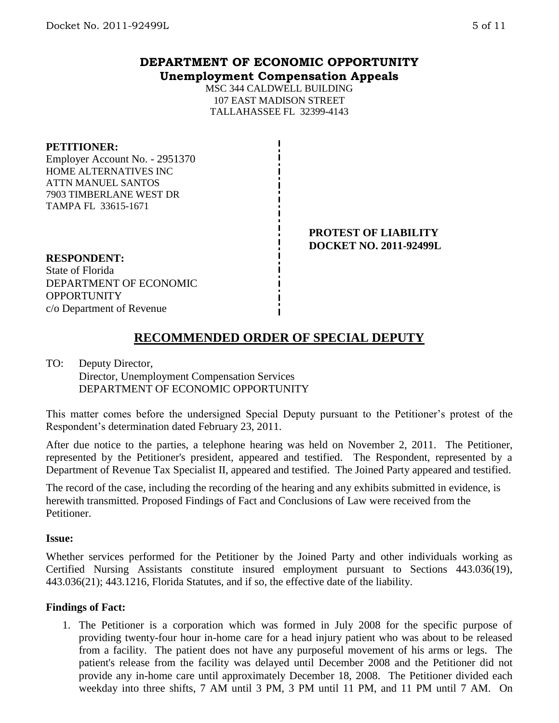## **DEPARTMENT OF ECONOMIC OPPORTUNITY Unemployment Compensation Appeals**

MSC 344 CALDWELL BUILDING 107 EAST MADISON STREET TALLAHASSEE FL 32399-4143

#### **PETITIONER:**

Employer Account No. - 2951370 HOME ALTERNATIVES INC ATTN MANUEL SANTOS 7903 TIMBERLANE WEST DR TAMPA FL 33615-1671

> **PROTEST OF LIABILITY DOCKET NO. 2011-92499L**

#### **RESPONDENT:**

State of Florida DEPARTMENT OF ECONOMIC **OPPORTUNITY** c/o Department of Revenue

# **RECOMMENDED ORDER OF SPECIAL DEPUTY**

### TO: Deputy Director, Director, Unemployment Compensation Services DEPARTMENT OF ECONOMIC OPPORTUNITY

This matter comes before the undersigned Special Deputy pursuant to the Petitioner's protest of the Respondent's determination dated February 23, 2011.

After due notice to the parties, a telephone hearing was held on November 2, 2011. The Petitioner, represented by the Petitioner's president, appeared and testified. The Respondent, represented by a Department of Revenue Tax Specialist II, appeared and testified. The Joined Party appeared and testified.

The record of the case, including the recording of the hearing and any exhibits submitted in evidence, is herewith transmitted. Proposed Findings of Fact and Conclusions of Law were received from the Petitioner.

#### **Issue:**

Whether services performed for the Petitioner by the Joined Party and other individuals working as Certified Nursing Assistants constitute insured employment pursuant to Sections 443.036(19), 443.036(21); 443.1216, Florida Statutes, and if so, the effective date of the liability.

#### **Findings of Fact:**

1. The Petitioner is a corporation which was formed in July 2008 for the specific purpose of providing twenty-four hour in-home care for a head injury patient who was about to be released from a facility. The patient does not have any purposeful movement of his arms or legs. The patient's release from the facility was delayed until December 2008 and the Petitioner did not provide any in-home care until approximately December 18, 2008. The Petitioner divided each weekday into three shifts, 7 AM until 3 PM, 3 PM until 11 PM, and 11 PM until 7 AM. On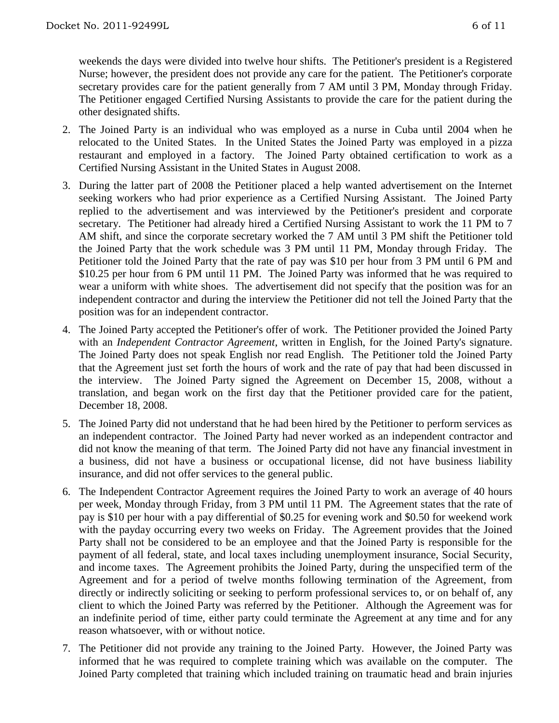weekends the days were divided into twelve hour shifts. The Petitioner's president is a Registered Nurse; however, the president does not provide any care for the patient. The Petitioner's corporate secretary provides care for the patient generally from 7 AM until 3 PM, Monday through Friday. The Petitioner engaged Certified Nursing Assistants to provide the care for the patient during the other designated shifts.

- 2. The Joined Party is an individual who was employed as a nurse in Cuba until 2004 when he relocated to the United States. In the United States the Joined Party was employed in a pizza restaurant and employed in a factory. The Joined Party obtained certification to work as a Certified Nursing Assistant in the United States in August 2008.
- 3. During the latter part of 2008 the Petitioner placed a help wanted advertisement on the Internet seeking workers who had prior experience as a Certified Nursing Assistant. The Joined Party replied to the advertisement and was interviewed by the Petitioner's president and corporate secretary. The Petitioner had already hired a Certified Nursing Assistant to work the 11 PM to 7 AM shift, and since the corporate secretary worked the 7 AM until 3 PM shift the Petitioner told the Joined Party that the work schedule was 3 PM until 11 PM, Monday through Friday. The Petitioner told the Joined Party that the rate of pay was \$10 per hour from 3 PM until 6 PM and \$10.25 per hour from 6 PM until 11 PM. The Joined Party was informed that he was required to wear a uniform with white shoes. The advertisement did not specify that the position was for an independent contractor and during the interview the Petitioner did not tell the Joined Party that the position was for an independent contractor.
- 4. The Joined Party accepted the Petitioner's offer of work. The Petitioner provided the Joined Party with an *Independent Contractor Agreement*, written in English, for the Joined Party's signature. The Joined Party does not speak English nor read English. The Petitioner told the Joined Party that the Agreement just set forth the hours of work and the rate of pay that had been discussed in the interview. The Joined Party signed the Agreement on December 15, 2008, without a translation, and began work on the first day that the Petitioner provided care for the patient, December 18, 2008.
- 5. The Joined Party did not understand that he had been hired by the Petitioner to perform services as an independent contractor. The Joined Party had never worked as an independent contractor and did not know the meaning of that term. The Joined Party did not have any financial investment in a business, did not have a business or occupational license, did not have business liability insurance, and did not offer services to the general public.
- 6. The Independent Contractor Agreement requires the Joined Party to work an average of 40 hours per week, Monday through Friday, from 3 PM until 11 PM. The Agreement states that the rate of pay is \$10 per hour with a pay differential of \$0.25 for evening work and \$0.50 for weekend work with the payday occurring every two weeks on Friday. The Agreement provides that the Joined Party shall not be considered to be an employee and that the Joined Party is responsible for the payment of all federal, state, and local taxes including unemployment insurance, Social Security, and income taxes. The Agreement prohibits the Joined Party, during the unspecified term of the Agreement and for a period of twelve months following termination of the Agreement, from directly or indirectly soliciting or seeking to perform professional services to, or on behalf of, any client to which the Joined Party was referred by the Petitioner. Although the Agreement was for an indefinite period of time, either party could terminate the Agreement at any time and for any reason whatsoever, with or without notice.
- 7. The Petitioner did not provide any training to the Joined Party. However, the Joined Party was informed that he was required to complete training which was available on the computer. The Joined Party completed that training which included training on traumatic head and brain injuries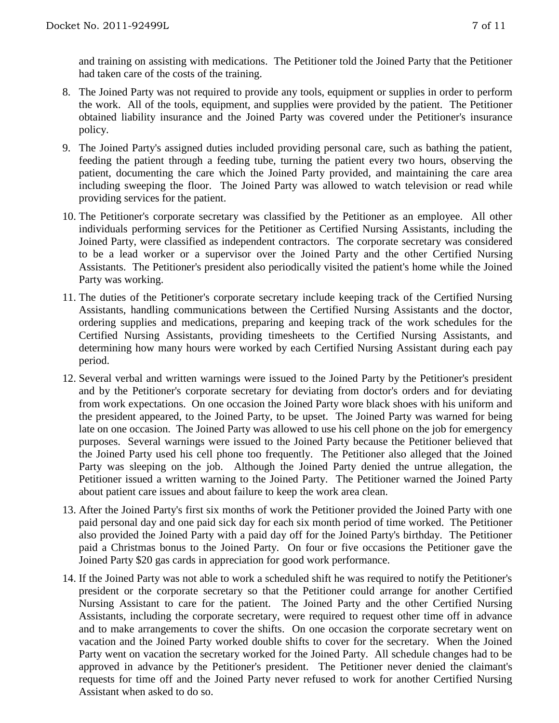and training on assisting with medications. The Petitioner told the Joined Party that the Petitioner had taken care of the costs of the training.

- 8. The Joined Party was not required to provide any tools, equipment or supplies in order to perform the work. All of the tools, equipment, and supplies were provided by the patient. The Petitioner obtained liability insurance and the Joined Party was covered under the Petitioner's insurance policy.
- 9. The Joined Party's assigned duties included providing personal care, such as bathing the patient, feeding the patient through a feeding tube, turning the patient every two hours, observing the patient, documenting the care which the Joined Party provided, and maintaining the care area including sweeping the floor. The Joined Party was allowed to watch television or read while providing services for the patient.
- 10. The Petitioner's corporate secretary was classified by the Petitioner as an employee. All other individuals performing services for the Petitioner as Certified Nursing Assistants, including the Joined Party, were classified as independent contractors. The corporate secretary was considered to be a lead worker or a supervisor over the Joined Party and the other Certified Nursing Assistants. The Petitioner's president also periodically visited the patient's home while the Joined Party was working.
- 11. The duties of the Petitioner's corporate secretary include keeping track of the Certified Nursing Assistants, handling communications between the Certified Nursing Assistants and the doctor, ordering supplies and medications, preparing and keeping track of the work schedules for the Certified Nursing Assistants, providing timesheets to the Certified Nursing Assistants, and determining how many hours were worked by each Certified Nursing Assistant during each pay period.
- 12. Several verbal and written warnings were issued to the Joined Party by the Petitioner's president and by the Petitioner's corporate secretary for deviating from doctor's orders and for deviating from work expectations. On one occasion the Joined Party wore black shoes with his uniform and the president appeared, to the Joined Party, to be upset. The Joined Party was warned for being late on one occasion. The Joined Party was allowed to use his cell phone on the job for emergency purposes. Several warnings were issued to the Joined Party because the Petitioner believed that the Joined Party used his cell phone too frequently. The Petitioner also alleged that the Joined Party was sleeping on the job. Although the Joined Party denied the untrue allegation, the Petitioner issued a written warning to the Joined Party. The Petitioner warned the Joined Party about patient care issues and about failure to keep the work area clean.
- 13. After the Joined Party's first six months of work the Petitioner provided the Joined Party with one paid personal day and one paid sick day for each six month period of time worked. The Petitioner also provided the Joined Party with a paid day off for the Joined Party's birthday. The Petitioner paid a Christmas bonus to the Joined Party. On four or five occasions the Petitioner gave the Joined Party \$20 gas cards in appreciation for good work performance.
- 14. If the Joined Party was not able to work a scheduled shift he was required to notify the Petitioner's president or the corporate secretary so that the Petitioner could arrange for another Certified Nursing Assistant to care for the patient. The Joined Party and the other Certified Nursing Assistants, including the corporate secretary, were required to request other time off in advance and to make arrangements to cover the shifts. On one occasion the corporate secretary went on vacation and the Joined Party worked double shifts to cover for the secretary. When the Joined Party went on vacation the secretary worked for the Joined Party. All schedule changes had to be approved in advance by the Petitioner's president. The Petitioner never denied the claimant's requests for time off and the Joined Party never refused to work for another Certified Nursing Assistant when asked to do so.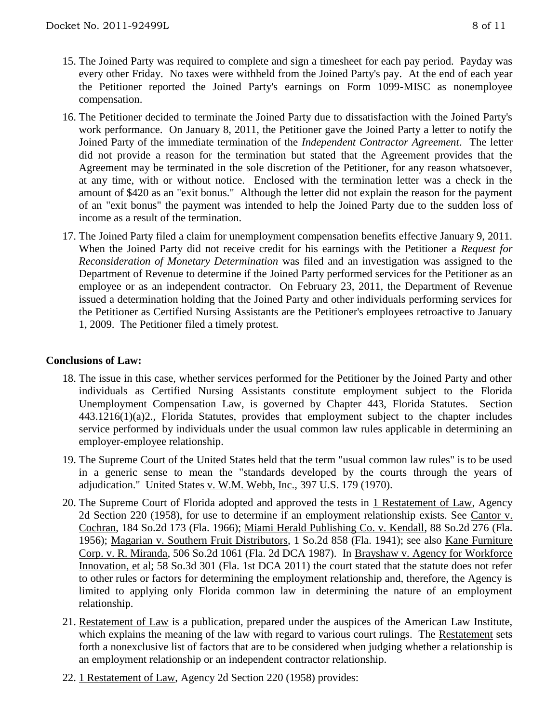- 15. The Joined Party was required to complete and sign a timesheet for each pay period. Payday was every other Friday. No taxes were withheld from the Joined Party's pay. At the end of each year the Petitioner reported the Joined Party's earnings on Form 1099-MISC as nonemployee compensation.
- 16. The Petitioner decided to terminate the Joined Party due to dissatisfaction with the Joined Party's work performance. On January 8, 2011, the Petitioner gave the Joined Party a letter to notify the Joined Party of the immediate termination of the *Independent Contractor Agreement*. The letter did not provide a reason for the termination but stated that the Agreement provides that the Agreement may be terminated in the sole discretion of the Petitioner, for any reason whatsoever, at any time, with or without notice. Enclosed with the termination letter was a check in the amount of \$420 as an "exit bonus." Although the letter did not explain the reason for the payment of an "exit bonus" the payment was intended to help the Joined Party due to the sudden loss of income as a result of the termination.
- 17. The Joined Party filed a claim for unemployment compensation benefits effective January 9, 2011. When the Joined Party did not receive credit for his earnings with the Petitioner a *Request for Reconsideration of Monetary Determination* was filed and an investigation was assigned to the Department of Revenue to determine if the Joined Party performed services for the Petitioner as an employee or as an independent contractor. On February 23, 2011, the Department of Revenue issued a determination holding that the Joined Party and other individuals performing services for the Petitioner as Certified Nursing Assistants are the Petitioner's employees retroactive to January 1, 2009. The Petitioner filed a timely protest.

## **Conclusions of Law:**

- 18. The issue in this case, whether services performed for the Petitioner by the Joined Party and other individuals as Certified Nursing Assistants constitute employment subject to the Florida Unemployment Compensation Law, is governed by Chapter 443, Florida Statutes. Section 443.1216(1)(a)2., Florida Statutes, provides that employment subject to the chapter includes service performed by individuals under the usual common law rules applicable in determining an employer-employee relationship.
- 19. The Supreme Court of the United States held that the term "usual common law rules" is to be used in a generic sense to mean the "standards developed by the courts through the years of adjudication." United States v. W.M. Webb, Inc., 397 U.S. 179 (1970).
- 20. The Supreme Court of Florida adopted and approved the tests in 1 Restatement of Law, Agency 2d Section 220 (1958), for use to determine if an employment relationship exists. See Cantor v. Cochran, 184 So.2d 173 (Fla. 1966); Miami Herald Publishing Co. v. Kendall, 88 So.2d 276 (Fla. 1956); Magarian v. Southern Fruit Distributors, 1 So.2d 858 (Fla. 1941); see also Kane Furniture Corp. v. R. Miranda, 506 So.2d 1061 (Fla. 2d DCA 1987). In Brayshaw v. Agency for Workforce Innovation, et al; 58 So.3d 301 (Fla. 1st DCA 2011) the court stated that the statute does not refer to other rules or factors for determining the employment relationship and, therefore, the Agency is limited to applying only Florida common law in determining the nature of an employment relationship.
- 21. Restatement of Law is a publication, prepared under the auspices of the American Law Institute, which explains the meaning of the law with regard to various court rulings. The Restatement sets forth a nonexclusive list of factors that are to be considered when judging whether a relationship is an employment relationship or an independent contractor relationship.
- 22. 1 Restatement of Law, Agency 2d Section 220 (1958) provides: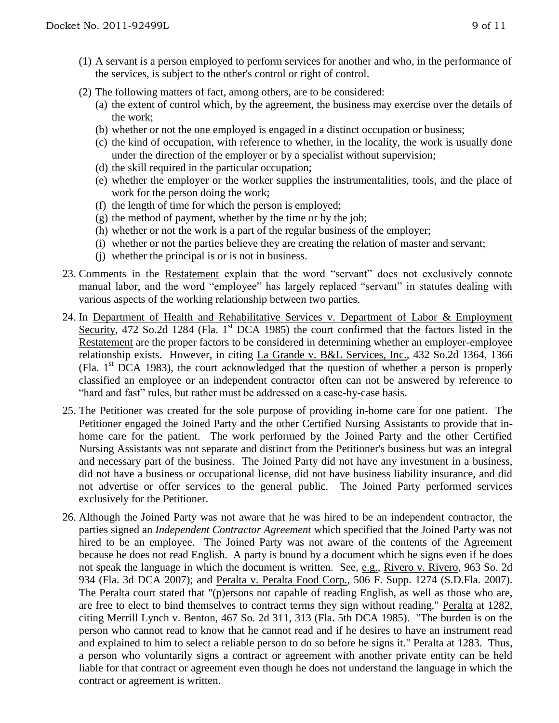- (1) A servant is a person employed to perform services for another and who, in the performance of the services, is subject to the other's control or right of control.
- (2) The following matters of fact, among others, are to be considered:
	- (a) the extent of control which, by the agreement, the business may exercise over the details of the work;
	- (b) whether or not the one employed is engaged in a distinct occupation or business;
	- (c) the kind of occupation, with reference to whether, in the locality, the work is usually done under the direction of the employer or by a specialist without supervision;
	- (d) the skill required in the particular occupation;
	- (e) whether the employer or the worker supplies the instrumentalities, tools, and the place of work for the person doing the work;
	- (f) the length of time for which the person is employed;
	- $(g)$  the method of payment, whether by the time or by the job;
	- (h) whether or not the work is a part of the regular business of the employer;
	- (i) whether or not the parties believe they are creating the relation of master and servant;
	- (j) whether the principal is or is not in business.
- 23. Comments in the Restatement explain that the word "servant" does not exclusively connote manual labor, and the word "employee" has largely replaced "servant" in statutes dealing with various aspects of the working relationship between two parties.
- 24. In Department of Health and Rehabilitative Services v. Department of Labor & Employment Security, 472 So.2d 1284 (Fla.  $1<sup>st</sup>$  DCA 1985) the court confirmed that the factors listed in the Restatement are the proper factors to be considered in determining whether an employer-employee relationship exists. However, in citing La Grande v. B&L Services, Inc., 432 So.2d 1364, 1366 (Fla.  $1<sup>st</sup> DCA$  1983), the court acknowledged that the question of whether a person is properly classified an employee or an independent contractor often can not be answered by reference to "hard and fast" rules, but rather must be addressed on a case-by-case basis.
- 25. The Petitioner was created for the sole purpose of providing in-home care for one patient. The Petitioner engaged the Joined Party and the other Certified Nursing Assistants to provide that inhome care for the patient. The work performed by the Joined Party and the other Certified Nursing Assistants was not separate and distinct from the Petitioner's business but was an integral and necessary part of the business. The Joined Party did not have any investment in a business, did not have a business or occupational license, did not have business liability insurance, and did not advertise or offer services to the general public. The Joined Party performed services exclusively for the Petitioner.
- 26. Although the Joined Party was not aware that he was hired to be an independent contractor, the parties signed an *Independent Contractor Agreement* which specified that the Joined Party was not hired to be an employee. The Joined Party was not aware of the contents of the Agreement because he does not read English. A party is bound by a document which he signs even if he does not speak the language in which the document is written. See, e.g., Rivero v. Rivero, 963 So. 2d 934 (Fla. 3d DCA 2007); and Peralta v. Peralta Food Corp., 506 F. Supp. 1274 (S.D.Fla. 2007). The Peralta court stated that "(p)ersons not capable of reading English, as well as those who are, are free to elect to bind themselves to contract terms they sign without reading." Peralta at 1282, citing Merrill Lynch v. Benton, 467 So. 2d 311, 313 (Fla. 5th DCA 1985). "The burden is on the person who cannot read to know that he cannot read and if he desires to have an instrument read and explained to him to select a reliable person to do so before he signs it." Peralta at 1283. Thus, a person who voluntarily signs a contract or agreement with another private entity can be held liable for that contract or agreement even though he does not understand the language in which the contract or agreement is written.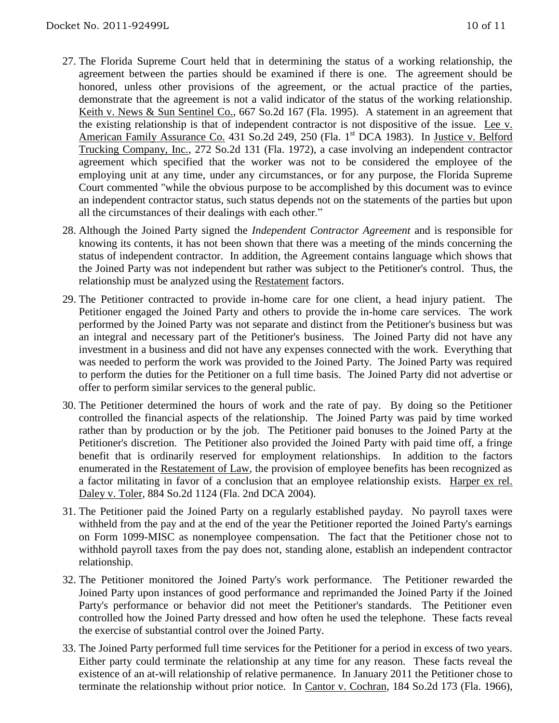- 27. The Florida Supreme Court held that in determining the status of a working relationship, the agreement between the parties should be examined if there is one. The agreement should be honored, unless other provisions of the agreement, or the actual practice of the parties, demonstrate that the agreement is not a valid indicator of the status of the working relationship. Keith v. News & Sun Sentinel Co., 667 So.2d 167 (Fla. 1995). A statement in an agreement that the existing relationship is that of independent contractor is not dispositive of the issue. Lee v. American Family Assurance Co. 431 So.2d 249, 250 (Fla. 1<sup>st</sup> DCA 1983). In Justice v. Belford Trucking Company, Inc., 272 So.2d 131 (Fla. 1972), a case involving an independent contractor agreement which specified that the worker was not to be considered the employee of the employing unit at any time, under any circumstances, or for any purpose, the Florida Supreme Court commented "while the obvious purpose to be accomplished by this document was to evince an independent contractor status, such status depends not on the statements of the parties but upon all the circumstances of their dealings with each other."
- 28. Although the Joined Party signed the *Independent Contractor Agreement* and is responsible for knowing its contents, it has not been shown that there was a meeting of the minds concerning the status of independent contractor. In addition, the Agreement contains language which shows that the Joined Party was not independent but rather was subject to the Petitioner's control. Thus, the relationship must be analyzed using the Restatement factors.
- 29. The Petitioner contracted to provide in-home care for one client, a head injury patient. The Petitioner engaged the Joined Party and others to provide the in-home care services. The work performed by the Joined Party was not separate and distinct from the Petitioner's business but was an integral and necessary part of the Petitioner's business. The Joined Party did not have any investment in a business and did not have any expenses connected with the work. Everything that was needed to perform the work was provided to the Joined Party. The Joined Party was required to perform the duties for the Petitioner on a full time basis. The Joined Party did not advertise or offer to perform similar services to the general public.
- 30. The Petitioner determined the hours of work and the rate of pay. By doing so the Petitioner controlled the financial aspects of the relationship. The Joined Party was paid by time worked rather than by production or by the job. The Petitioner paid bonuses to the Joined Party at the Petitioner's discretion. The Petitioner also provided the Joined Party with paid time off, a fringe benefit that is ordinarily reserved for employment relationships. In addition to the factors enumerated in the Restatement of Law, the provision of employee benefits has been recognized as a factor militating in favor of a conclusion that an employee relationship exists. Harper ex rel. Daley v. Toler, 884 So.2d 1124 (Fla. 2nd DCA 2004).
- 31. The Petitioner paid the Joined Party on a regularly established payday. No payroll taxes were withheld from the pay and at the end of the year the Petitioner reported the Joined Party's earnings on Form 1099-MISC as nonemployee compensation. The fact that the Petitioner chose not to withhold payroll taxes from the pay does not, standing alone, establish an independent contractor relationship.
- 32. The Petitioner monitored the Joined Party's work performance. The Petitioner rewarded the Joined Party upon instances of good performance and reprimanded the Joined Party if the Joined Party's performance or behavior did not meet the Petitioner's standards. The Petitioner even controlled how the Joined Party dressed and how often he used the telephone. These facts reveal the exercise of substantial control over the Joined Party.
- 33. The Joined Party performed full time services for the Petitioner for a period in excess of two years. Either party could terminate the relationship at any time for any reason. These facts reveal the existence of an at-will relationship of relative permanence. In January 2011 the Petitioner chose to terminate the relationship without prior notice. In Cantor v. Cochran, 184 So.2d 173 (Fla. 1966),